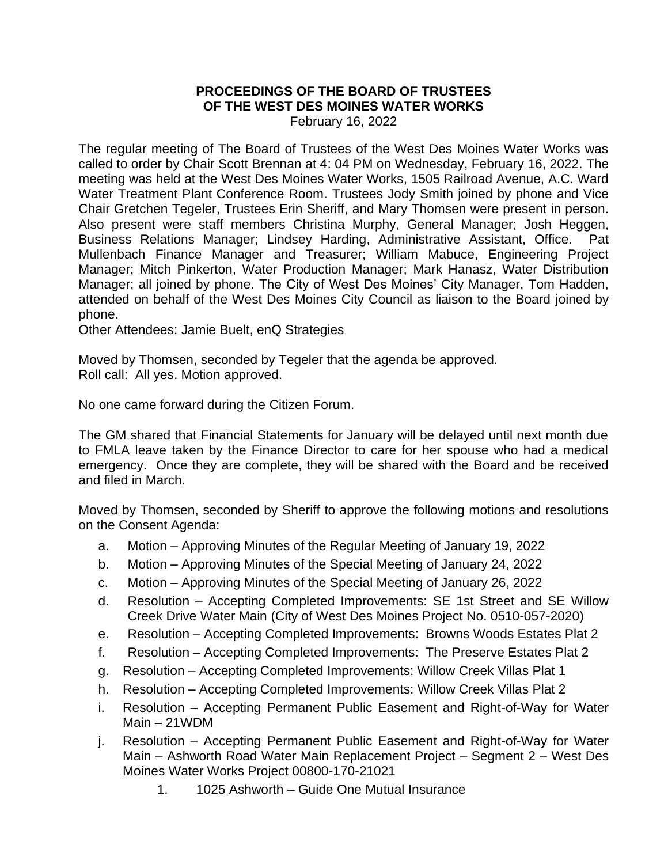## **PROCEEDINGS OF THE BOARD OF TRUSTEES OF THE WEST DES MOINES WATER WORKS**

February 16, 2022

The regular meeting of The Board of Trustees of the West Des Moines Water Works was called to order by Chair Scott Brennan at 4: 04 PM on Wednesday, February 16, 2022. The meeting was held at the West Des Moines Water Works, 1505 Railroad Avenue, A.C. Ward Water Treatment Plant Conference Room. Trustees Jody Smith joined by phone and Vice Chair Gretchen Tegeler, Trustees Erin Sheriff, and Mary Thomsen were present in person. Also present were staff members Christina Murphy, General Manager; Josh Heggen, Business Relations Manager; Lindsey Harding, Administrative Assistant, Office. Pat Mullenbach Finance Manager and Treasurer; William Mabuce, Engineering Project Manager; Mitch Pinkerton, Water Production Manager; Mark Hanasz, Water Distribution Manager; all joined by phone. The City of West Des Moines' City Manager, Tom Hadden, attended on behalf of the West Des Moines City Council as liaison to the Board joined by phone.

Other Attendees: Jamie Buelt, enQ Strategies

Moved by Thomsen, seconded by Tegeler that the agenda be approved. Roll call: All yes. Motion approved.

No one came forward during the Citizen Forum.

The GM shared that Financial Statements for January will be delayed until next month due to FMLA leave taken by the Finance Director to care for her spouse who had a medical emergency. Once they are complete, they will be shared with the Board and be received and filed in March.

Moved by Thomsen, seconded by Sheriff to approve the following motions and resolutions on the Consent Agenda:

- a. Motion Approving Minutes of the Regular Meeting of January 19, 2022
- b. Motion Approving Minutes of the Special Meeting of January 24, 2022
- c. Motion Approving Minutes of the Special Meeting of January 26, 2022
- d. Resolution Accepting Completed Improvements: SE 1st Street and SE Willow Creek Drive Water Main (City of West Des Moines Project No. 0510-057-2020)
- e. Resolution Accepting Completed Improvements: Browns Woods Estates Plat 2
- f. Resolution Accepting Completed Improvements: The Preserve Estates Plat 2
- g. Resolution Accepting Completed Improvements: Willow Creek Villas Plat 1
- h. Resolution Accepting Completed Improvements: Willow Creek Villas Plat 2
- i. Resolution Accepting Permanent Public Easement and Right-of-Way for Water Main – 21WDM
- j. Resolution Accepting Permanent Public Easement and Right-of-Way for Water Main – Ashworth Road Water Main Replacement Project – Segment 2 – West Des Moines Water Works Project 00800-170-21021
	- 1. 1025 Ashworth Guide One Mutual Insurance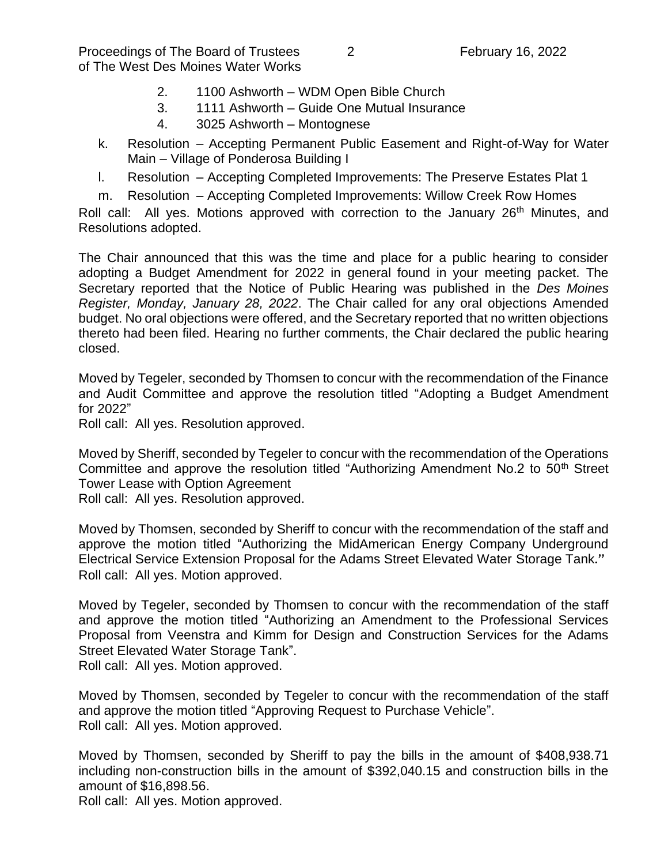Proceedings of The Board of Trustees 2 7 February 16, 2022 of The West Des Moines Water Works

- 2. 1100 Ashworth WDM Open Bible Church
- 3. 1111 Ashworth Guide One Mutual Insurance
- 4. 3025 Ashworth Montognese
- k. Resolution Accepting Permanent Public Easement and Right-of-Way for Water Main – Village of Ponderosa Building I
- l. Resolution Accepting Completed Improvements: The Preserve Estates Plat 1
- m. Resolution Accepting Completed Improvements: Willow Creek Row Homes

Roll call: All yes. Motions approved with correction to the January 26<sup>th</sup> Minutes, and Resolutions adopted.

The Chair announced that this was the time and place for a public hearing to consider adopting a Budget Amendment for 2022 in general found in your meeting packet. The Secretary reported that the Notice of Public Hearing was published in the *Des Moines Register, Monday, January 28, 2022*. The Chair called for any oral objections Amended budget. No oral objections were offered, and the Secretary reported that no written objections thereto had been filed. Hearing no further comments, the Chair declared the public hearing closed.

Moved by Tegeler, seconded by Thomsen to concur with the recommendation of the Finance and Audit Committee and approve the resolution titled "Adopting a Budget Amendment for 2022"

Roll call: All yes. Resolution approved.

Moved by Sheriff, seconded by Tegeler to concur with the recommendation of the Operations Committee and approve the resolution titled "Authorizing Amendment No.2 to 50<sup>th</sup> Street Tower Lease with Option Agreement

Roll call: All yes. Resolution approved.

Moved by Thomsen, seconded by Sheriff to concur with the recommendation of the staff and approve the motion titled "Authorizing the MidAmerican Energy Company Underground Electrical Service Extension Proposal for the Adams Street Elevated Water Storage Tank." Roll call: All yes. Motion approved.

Moved by Tegeler, seconded by Thomsen to concur with the recommendation of the staff and approve the motion titled "Authorizing an Amendment to the Professional Services Proposal from Veenstra and Kimm for Design and Construction Services for the Adams Street Elevated Water Storage Tank".

Roll call: All yes. Motion approved.

Moved by Thomsen, seconded by Tegeler to concur with the recommendation of the staff and approve the motion titled "Approving Request to Purchase Vehicle". Roll call: All yes. Motion approved.

Moved by Thomsen, seconded by Sheriff to pay the bills in the amount of \$408,938.71 including non-construction bills in the amount of \$392,040.15 and construction bills in the amount of \$16,898.56.

Roll call: All yes. Motion approved.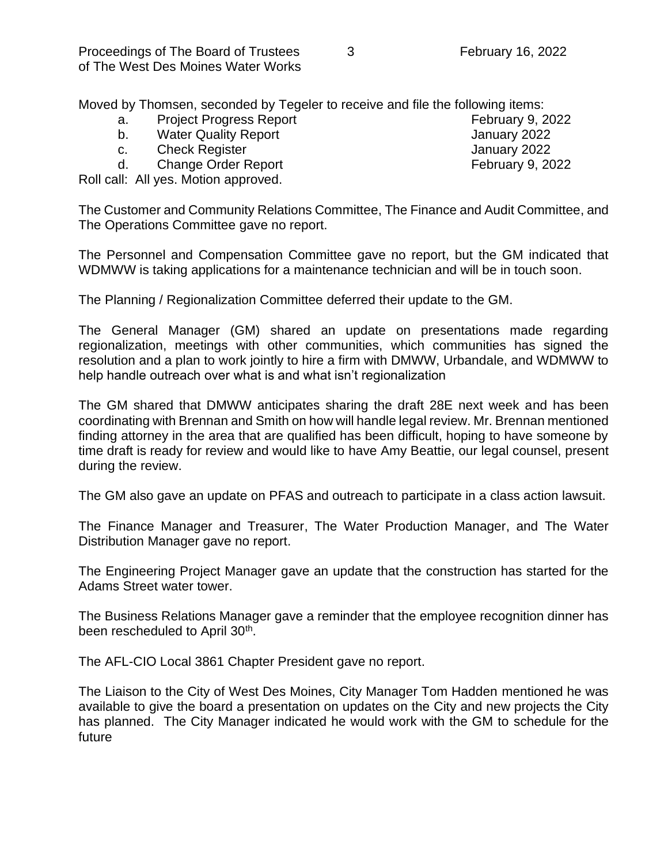Moved by Thomsen, seconded by Tegeler to receive and file the following items:

- a. Project Progress Report February 9, 2022
- b. Water Quality Report b. Samuary 2022
- c. Check Register Check Register Check Register Check and the United States of the United States of the United States of the United States of the United States of the United States of the United States of the United States
- d. Change Order Report February 9, 2022

Roll call: All yes. Motion approved.

The Customer and Community Relations Committee, The Finance and Audit Committee, and The Operations Committee gave no report.

The Personnel and Compensation Committee gave no report, but the GM indicated that WDMWW is taking applications for a maintenance technician and will be in touch soon.

The Planning / Regionalization Committee deferred their update to the GM.

The General Manager (GM) shared an update on presentations made regarding regionalization, meetings with other communities, which communities has signed the resolution and a plan to work jointly to hire a firm with DMWW, Urbandale, and WDMWW to help handle outreach over what is and what isn't regionalization

The GM shared that DMWW anticipates sharing the draft 28E next week and has been coordinating with Brennan and Smith on how will handle legal review. Mr. Brennan mentioned finding attorney in the area that are qualified has been difficult, hoping to have someone by time draft is ready for review and would like to have Amy Beattie, our legal counsel, present during the review.

The GM also gave an update on PFAS and outreach to participate in a class action lawsuit.

The Finance Manager and Treasurer, The Water Production Manager, and The Water Distribution Manager gave no report.

The Engineering Project Manager gave an update that the construction has started for the Adams Street water tower.

The Business Relations Manager gave a reminder that the employee recognition dinner has been rescheduled to April 30<sup>th</sup>.

The AFL-CIO Local 3861 Chapter President gave no report.

The Liaison to the City of West Des Moines, City Manager Tom Hadden mentioned he was available to give the board a presentation on updates on the City and new projects the City has planned. The City Manager indicated he would work with the GM to schedule for the future